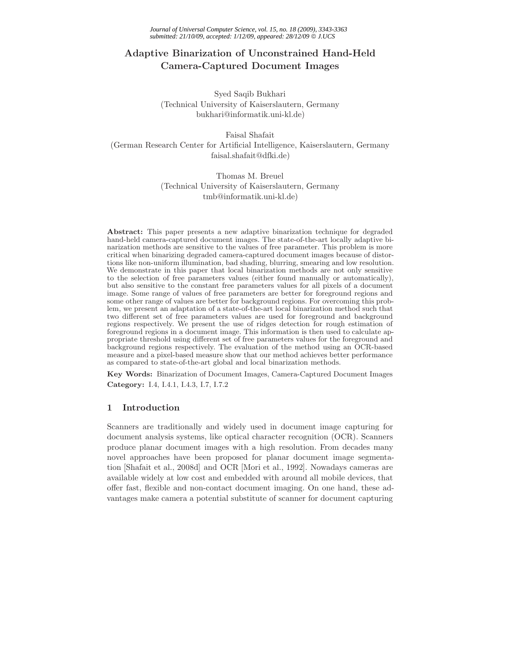# **Adaptive Binarization of Unconstrained Hand-Held Camera-Captured Document Images**

Syed Saqib Bukhari (Technical University of Kaiserslautern, Germany bukhari@informatik.uni-kl.de)

Faisal Shafait (German Research Center for Artificial Intelligence, Kaiserslautern, Germany faisal.shafait@dfki.de)

> Thomas M. Breuel (Technical University of Kaiserslautern, Germany tmb@informatik.uni-kl.de)

**Abstract:** This paper presents a new adaptive binarization technique for degraded hand-held camera-captured document images. The state-of-the-art locally adaptive binarization methods are sensitive to the values of free parameter. This problem is more critical when binarizing degraded camera-captured document images because of distortions like non-uniform illumination, bad shading, blurring, smearing and low resolution. We demonstrate in this paper that local binarization methods are not only sensitive to the selection of free parameters values (either found manually or automatically), but also sensitive to the constant free parameters values for all pixels of a document image. Some range of values of free parameters are better for foreground regions and some other range of values are better for background regions. For overcoming this problem, we present an adaptation of a state-of-the-art local binarization method such that two different set of free parameters values are used for foreground and background regions respectively. We present the use of ridges detection for rough estimation of foreground regions in a document image. This information is then used to calculate appropriate threshold using different set of free parameters values for the foreground and background regions respectively. The evaluation of the method using an OCR-based measure and a pixel-based measure show that our method achieves better performance as compared to state-of-the-art global and local binarization methods.

**Key Words:** Binarization of Document Images, Camera-Captured Document Images **Category:** I.4, I.4.1, I.4.3, I.7, I.7.2

# **1 Introduction**

Scanners are traditionally and widely used in document image capturing for document analysis systems, like optical character recognition (OCR). Scanners produce planar document images with a high resolution. From decades many novel approaches have been proposed for planar document image segmentation [Shafait et al., 2008d] and OCR [Mori et al., 1992]. Nowadays cameras are available widely at low cost and embedded with around all mobile devices, that offer fast, flexible and non-contact document imaging. On one hand, these advantages make camera a potential substitute of scanner for document capturing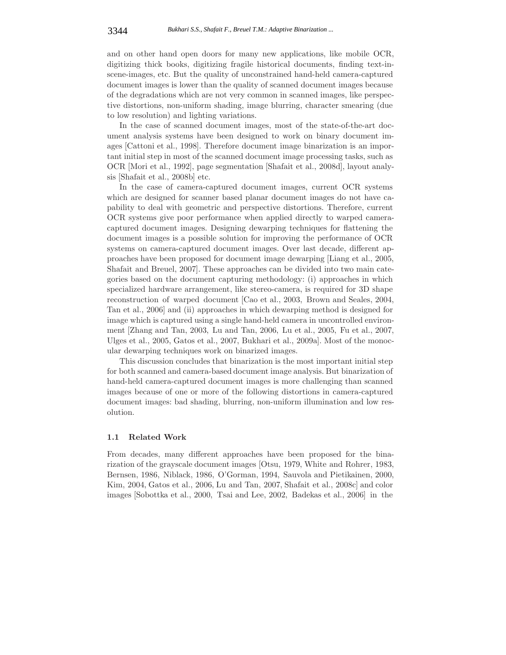and on other hand open doors for many new applications, like mobile OCR, digitizing thick books, digitizing fragile historical documents, finding text-inscene-images, etc. But the quality of unconstrained hand-held camera-captured document images is lower than the quality of scanned document images because of the degradations which are not very common in scanned images, like perspective distortions, non-uniform shading, image blurring, character smearing (due to low resolution) and lighting variations.

In the case of scanned document images, most of the state-of-the-art document analysis systems have been designed to work on binary document images [Cattoni et al., 1998]. Therefore document image binarization is an important initial step in most of the scanned document image processing tasks, such as OCR [Mori et al., 1992], page segmentation [Shafait et al., 2008d], layout analysis [Shafait et al., 2008b] etc.

In the case of camera-captured document images, current OCR systems which are designed for scanner based planar document images do not have capability to deal with geometric and perspective distortions. Therefore, current OCR systems give poor performance when applied directly to warped cameracaptured document images. Designing dewarping techniques for flattening the document images is a possible solution for improving the performance of OCR systems on camera-captured document images. Over last decade, different approaches have been proposed for document image dewarping [Liang et al., 2005, Shafait and Breuel, 2007]. These approaches can be divided into two main categories based on the document capturing methodology: (i) approaches in which specialized hardware arrangement, like stereo-camera, is required for 3D shape reconstruction of warped document [Cao et al., 2003, Brown and Seales, 2004, Tan et al., 2006] and (ii) approaches in which dewarping method is designed for image which is captured using a single hand-held camera in uncontrolled environment [Zhang and Tan, 2003, Lu and Tan, 2006, Lu et al., 2005, Fu et al., 2007, Ulges et al., 2005, Gatos et al., 2007, Bukhari et al., 2009a]. Most of the monocular dewarping techniques work on binarized images.

This discussion concludes that binarization is the most important initial step for both scanned and camera-based document image analysis. But binarization of hand-held camera-captured document images is more challenging than scanned images because of one or more of the following distortions in camera-captured document images: bad shading, blurring, non-uniform illumination and low resolution.

### **1.1 Related Work**

From decades, many different approaches have been proposed for the binarization of the grayscale document images [Otsu, 1979, White and Rohrer, 1983, Bernsen, 1986, Niblack, 1986, O'Gorman, 1994, Sauvola and Pietikainen, 2000, Kim, 2004, Gatos et al., 2006, Lu and Tan, 2007, Shafait et al., 2008c] and color images [Sobottka et al., 2000, Tsai and Lee, 2002, Badekas et al., 2006] in the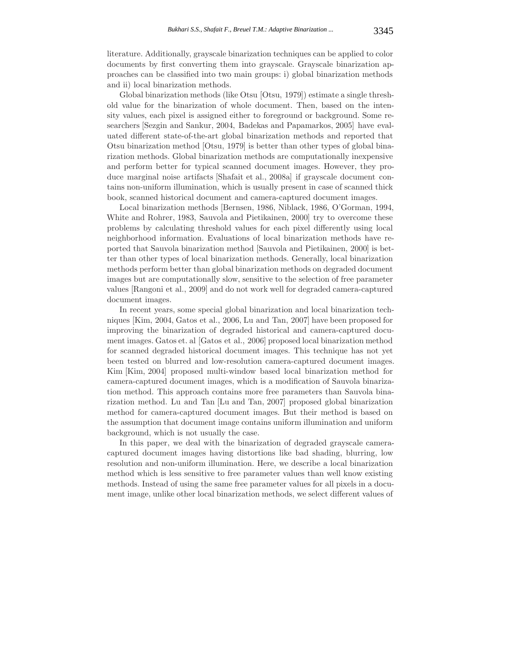literature. Additionally, grayscale binarization techniques can be applied to color documents by first converting them into grayscale. Grayscale binarization approaches can be classified into two main groups: i) global binarization methods and ii) local binarization methods.

Global binarization methods (like Otsu [Otsu, 1979]) estimate a single threshold value for the binarization of whole document. Then, based on the intensity values, each pixel is assigned either to foreground or background. Some researchers [Sezgin and Sankur, 2004, Badekas and Papamarkos, 2005] have evaluated different state-of-the-art global binarization methods and reported that Otsu binarization method [Otsu, 1979] is better than other types of global binarization methods. Global binarization methods are computationally inexpensive and perform better for typical scanned document images. However, they produce marginal noise artifacts [Shafait et al., 2008a] if grayscale document contains non-uniform illumination, which is usually present in case of scanned thick book, scanned historical document and camera-captured document images.

Local binarization methods [Bernsen, 1986, Niblack, 1986, O'Gorman, 1994, White and Rohrer, 1983, Sauvola and Pietikainen, 2000] try to overcome these problems by calculating threshold values for each pixel differently using local neighborhood information. Evaluations of local binarization methods have reported that Sauvola binarization method [Sauvola and Pietikainen, 2000] is better than other types of local binarization methods. Generally, local binarization methods perform better than global binarization methods on degraded document images but are computationally slow, sensitive to the selection of free parameter values [Rangoni et al., 2009] and do not work well for degraded camera-captured document images.

In recent years, some special global binarization and local binarization techniques [Kim, 2004, Gatos et al., 2006, Lu and Tan, 2007] have been proposed for improving the binarization of degraded historical and camera-captured document images. Gatos et. al [Gatos et al., 2006] proposed local binarization method for scanned degraded historical document images. This technique has not yet been tested on blurred and low-resolution camera-captured document images. Kim [Kim, 2004] proposed multi-window based local binarization method for camera-captured document images, which is a modification of Sauvola binarization method. This approach contains more free parameters than Sauvola binarization method. Lu and Tan [Lu and Tan, 2007] proposed global binarization method for camera-captured document images. But their method is based on the assumption that document image contains uniform illumination and uniform background, which is not usually the case.

In this paper, we deal with the binarization of degraded grayscale cameracaptured document images having distortions like bad shading, blurring, low resolution and non-uniform illumination. Here, we describe a local binarization method which is less sensitive to free parameter values than well know existing methods. Instead of using the same free parameter values for all pixels in a document image, unlike other local binarization methods, we select different values of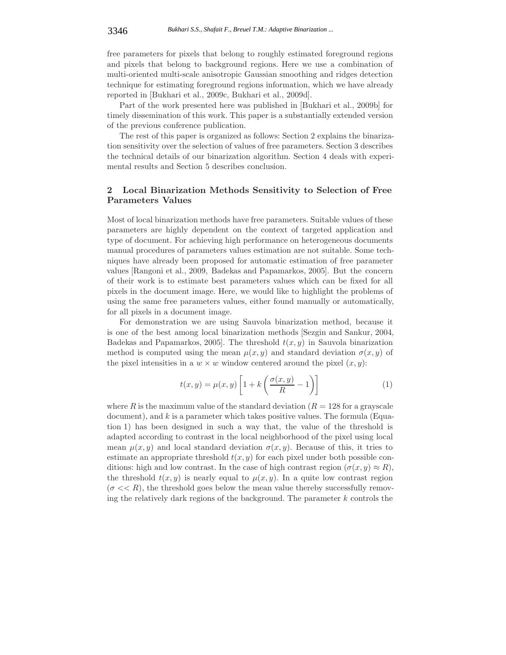free parameters for pixels that belong to roughly estimated foreground regions and pixels that belong to background regions. Here we use a combination of multi-oriented multi-scale anisotropic Gaussian smoothing and ridges detection technique for estimating foreground regions information, which we have already reported in [Bukhari et al., 2009c, Bukhari et al., 2009d].

Part of the work presented here was published in [Bukhari et al., 2009b] for timely dissemination of this work. This paper is a substantially extended version of the previous conference publication.

The rest of this paper is organized as follows: Section 2 explains the binarization sensitivity over the selection of values of free parameters. Section 3 describes the technical details of our binarization algorithm. Section 4 deals with experimental results and Section 5 describes conclusion.

# **2 Local Binarization Methods Sensitivity to Selection of Free Parameters Values**

Most of local binarization methods have free parameters. Suitable values of these parameters are highly dependent on the context of targeted application and type of document. For achieving high performance on heterogeneous documents manual procedures of parameters values estimation are not suitable. Some techniques have already been proposed for automatic estimation of free parameter values [Rangoni et al., 2009, Badekas and Papamarkos, 2005]. But the concern of their work is to estimate best parameters values which can be fixed for all pixels in the document image. Here, we would like to highlight the problems of using the same free parameters values, either found manually or automatically, for all pixels in a document image.

For demonstration we are using Sauvola binarization method, because it is one of the best among local binarization methods [Sezgin and Sankur, 2004, Badekas and Papamarkos, 2005]. The threshold  $t(x, y)$  in Sauvola binarization method is computed using the mean  $\mu(x, y)$  and standard deviation  $\sigma(x, y)$  of the pixel intensities in a  $w \times w$  window centered around the pixel  $(x, y)$ :

$$
t(x,y) = \mu(x,y) \left[ 1 + k \left( \frac{\sigma(x,y)}{R} - 1 \right) \right]
$$
 (1)

where R is the maximum value of the standard deviation  $(R = 128$  for a grayscale document), and k is a parameter which takes positive values. The formula (Equation 1) has been designed in such a way that, the value of the threshold is adapted according to contrast in the local neighborhood of the pixel using local mean  $\mu(x, y)$  and local standard deviation  $\sigma(x, y)$ . Because of this, it tries to estimate an appropriate threshold  $t(x, y)$  for each pixel under both possible conditions: high and low contrast. In the case of high contrast region  $(\sigma(x, y) \approx R)$ , the threshold  $t(x, y)$  is nearly equal to  $\mu(x, y)$ . In a quite low contrast region  $(\sigma \ll R)$ , the threshold goes below the mean value thereby successfully removing the relatively dark regions of the background. The parameter  $k$  controls the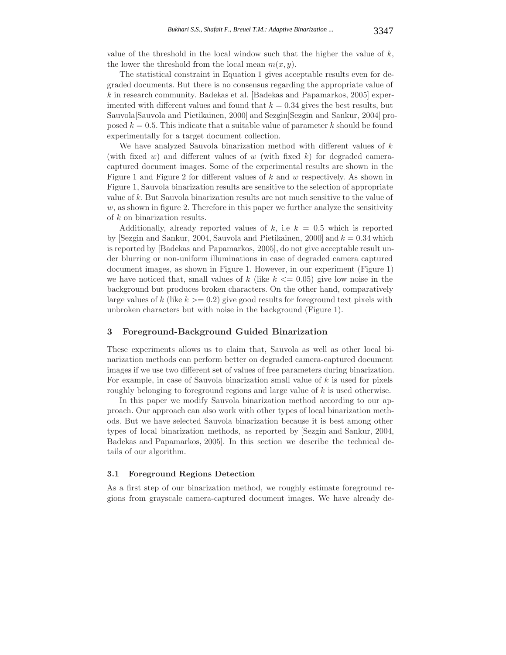value of the threshold in the local window such that the higher the value of  $k$ , the lower the threshold from the local mean  $m(x, y)$ .

The statistical constraint in Equation 1 gives acceptable results even for degraded documents. But there is no consensus regarding the appropriate value of k in research community. Badekas et al. [Badekas and Papamarkos, 2005] experimented with different values and found that  $k = 0.34$  gives the best results, but Sauvola[Sauvola and Pietikainen, 2000] and Sezgin[Sezgin and Sankur, 2004] proposed  $k = 0.5$ . This indicate that a suitable value of parameter k should be found experimentally for a target document collection.

We have analyzed Sauvola binarization method with different values of  $k$ (with fixed w) and different values of w (with fixed k) for degraded cameracaptured document images. Some of the experimental results are shown in the Figure 1 and Figure 2 for different values of  $k$  and  $w$  respectively. As shown in Figure 1, Sauvola binarization results are sensitive to the selection of appropriate value of k. But Sauvola binarization results are not much sensitive to the value of  $w$ , as shown in figure 2. Therefore in this paper we further analyze the sensitivity of k on binarization results.

Additionally, already reported values of  $k$ , i.e  $k = 0.5$  which is reported by [Sezgin and Sankur, 2004, Sauvola and Pietikainen, 2000] and  $k = 0.34$  which is reported by [Badekas and Papamarkos, 2005], do not give acceptable result under blurring or non-uniform illuminations in case of degraded camera captured document images, as shown in Figure 1. However, in our experiment (Figure 1) we have noticed that, small values of k (like  $k \leq 0.05$ ) give low noise in the background but produces broken characters. On the other hand, comparatively large values of k (like  $k \geq 0.2$ ) give good results for foreground text pixels with unbroken characters but with noise in the background (Figure 1).

# **3 Foreground-Background Guided Binarization**

These experiments allows us to claim that, Sauvola as well as other local binarization methods can perform better on degraded camera-captured document images if we use two different set of values of free parameters during binarization. For example, in case of Sauvola binarization small value of k is used for pixels roughly belonging to foreground regions and large value of k is used otherwise.

In this paper we modify Sauvola binarization method according to our approach. Our approach can also work with other types of local binarization methods. But we have selected Sauvola binarization because it is best among other types of local binarization methods, as reported by [Sezgin and Sankur, 2004, Badekas and Papamarkos, 2005]. In this section we describe the technical details of our algorithm.

#### **3.1 Foreground Regions Detection**

As a first step of our binarization method, we roughly estimate foreground regions from grayscale camera-captured document images. We have already de-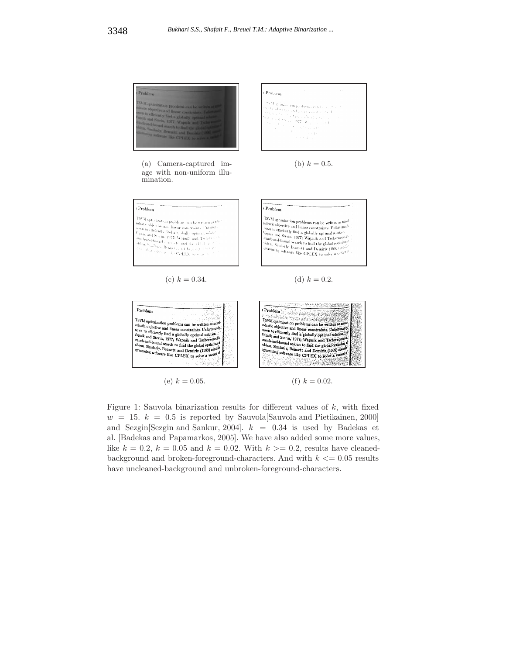

Figure 1: Sauvola binarization results for different values of  $k$ , with fixed  $w = 15$ .  $k = 0.5$  is reported by Sauvola Sauvola and Pietikainen, 2000 and Sezgin [Sezgin and Sankur, 2004].  $k = 0.34$  is used by Badekas et al. [Badekas and Papamarkos, 2005]. We have also added some more values, like  $k = 0.2$ ,  $k = 0.05$  and  $k = 0.02$ . With  $k \ge 0.2$ , results have cleanedbackground and broken-foreground-characters. And with  $k \leq 0.05$  results have uncleaned-background and unbroken-foreground-characters.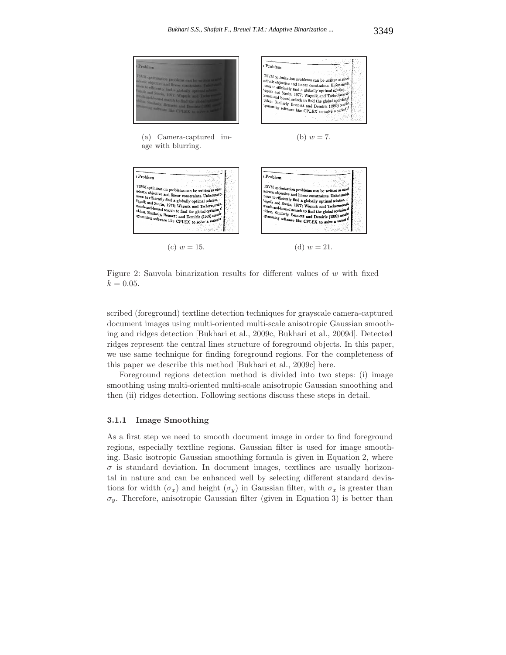

Figure 2: Sauvola binarization results for different values of  $w$  with fixed  $k = 0.05$ .

scribed (foreground) textline detection techniques for grayscale camera-captured document images using multi-oriented multi-scale anisotropic Gaussian smoothing and ridges detection [Bukhari et al., 2009c, Bukhari et al., 2009d]. Detected ridges represent the central lines structure of foreground objects. In this paper, we use same technique for finding foreground regions. For the completeness of this paper we describe this method [Bukhari et al., 2009c] here.

Foreground regions detection method is divided into two steps: (i) image smoothing using multi-oriented multi-scale anisotropic Gaussian smoothing and then (ii) ridges detection. Following sections discuss these steps in detail.

#### **3.1.1 Image Smoothing**

As a first step we need to smooth document image in order to find foreground regions, especially textline regions. Gaussian filter is used for image smoothing. Basic isotropic Gaussian smoothing formula is given in Equation 2, where  $\sigma$  is standard deviation. In document images, textlines are usually horizontal in nature and can be enhanced well by selecting different standard deviations for width  $(\sigma_x)$  and height  $(\sigma_y)$  in Gaussian filter, with  $\sigma_x$  is greater than  $\sigma_y$ . Therefore, anisotropic Gaussian filter (given in Equation 3) is better than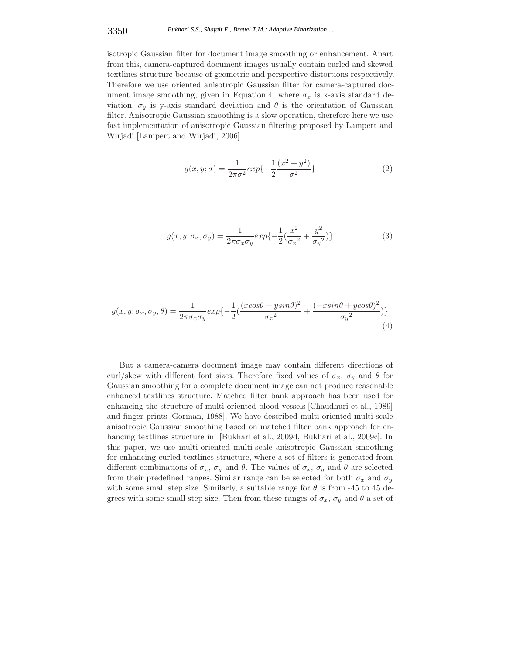### 3350 *Bukhari S.S., Shafait F., Breuel T.M.: Adaptive Binarization ...*

isotropic Gaussian filter for document image smoothing or enhancement. Apart from this, camera-captured document images usually contain curled and skewed textlines structure because of geometric and perspective distortions respectively. Therefore we use oriented anisotropic Gaussian filter for camera-captured document image smoothing, given in Equation 4, where  $\sigma_x$  is x-axis standard deviation,  $\sigma_y$  is y-axis standard deviation and  $\theta$  is the orientation of Gaussian filter. Anisotropic Gaussian smoothing is a slow operation, therefore here we use fast implementation of anisotropic Gaussian filtering proposed by Lampert and Wirjadi [Lampert and Wirjadi, 2006].

$$
g(x, y; \sigma) = \frac{1}{2\pi\sigma^2} exp\{-\frac{1}{2} \frac{(x^2 + y^2)}{\sigma^2}\}
$$
 (2)

$$
g(x, y; \sigma_x, \sigma_y) = \frac{1}{2\pi\sigma_x\sigma_y} exp\{-\frac{1}{2}(\frac{x^2}{\sigma_x^2} + \frac{y^2}{\sigma_y^2})\}
$$
(3)

$$
g(x, y; \sigma_x, \sigma_y, \theta) = \frac{1}{2\pi\sigma_x\sigma_y} exp\{-\frac{1}{2}(\frac{(xcos\theta + ysin\theta)^2}{\sigma_x^2} + \frac{(-xsin\theta + ycos\theta)^2}{\sigma_y^2})\}
$$
(4)

But a camera-camera document image may contain different directions of curl/skew with different font sizes. Therefore fixed values of  $\sigma_x$ ,  $\sigma_y$  and  $\theta$  for Gaussian smoothing for a complete document image can not produce reasonable enhanced textlines structure. Matched filter bank approach has been used for enhancing the structure of multi-oriented blood vessels [Chaudhuri et al., 1989] and finger prints [Gorman, 1988]. We have described multi-oriented multi-scale anisotropic Gaussian smoothing based on matched filter bank approach for enhancing textlines structure in [Bukhari et al., 2009d, Bukhari et al., 2009c]. In this paper, we use multi-oriented multi-scale anisotropic Gaussian smoothing for enhancing curled textlines structure, where a set of filters is generated from different combinations of  $\sigma_x$ ,  $\sigma_y$  and  $\theta$ . The values of  $\sigma_x$ ,  $\sigma_y$  and  $\theta$  are selected from their predefined ranges. Similar range can be selected for both  $\sigma_x$  and  $\sigma_y$ with some small step size. Similarly, a suitable range for  $\theta$  is from -45 to 45 degrees with some small step size. Then from these ranges of  $\sigma_x$ ,  $\sigma_y$  and  $\theta$  a set of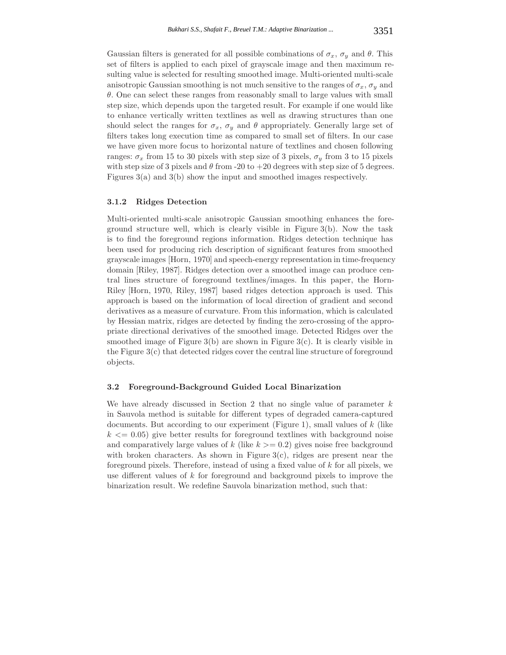Gaussian filters is generated for all possible combinations of  $\sigma_x$ ,  $\sigma_y$  and  $\theta$ . This set of filters is applied to each pixel of grayscale image and then maximum resulting value is selected for resulting smoothed image. Multi-oriented multi-scale anisotropic Gaussian smoothing is not much sensitive to the ranges of  $\sigma_x$ ,  $\sigma_y$  and  $\theta$ . One can select these ranges from reasonably small to large values with small step size, which depends upon the targeted result. For example if one would like to enhance vertically written textlines as well as drawing structures than one should select the ranges for  $\sigma_x$ ,  $\sigma_y$  and  $\theta$  appropriately. Generally large set of filters takes long execution time as compared to small set of filters. In our case we have given more focus to horizontal nature of textlines and chosen following ranges:  $\sigma_x$  from 15 to 30 pixels with step size of 3 pixels,  $\sigma_y$  from 3 to 15 pixels with step size of 3 pixels and  $\theta$  from -20 to +20 degrees with step size of 5 degrees. Figures 3(a) and 3(b) show the input and smoothed images respectively.

### **3.1.2 Ridges Detection**

Multi-oriented multi-scale anisotropic Gaussian smoothing enhances the foreground structure well, which is clearly visible in Figure 3(b). Now the task is to find the foreground regions information. Ridges detection technique has been used for producing rich description of significant features from smoothed grayscale images [Horn, 1970] and speech-energy representation in time-frequency domain [Riley, 1987]. Ridges detection over a smoothed image can produce central lines structure of foreground textlines/images. In this paper, the Horn-Riley [Horn, 1970, Riley, 1987] based ridges detection approach is used. This approach is based on the information of local direction of gradient and second derivatives as a measure of curvature. From this information, which is calculated by Hessian matrix, ridges are detected by finding the zero-crossing of the appropriate directional derivatives of the smoothed image. Detected Ridges over the smoothed image of Figure  $3(b)$  are shown in Figure  $3(c)$ . It is clearly visible in the Figure  $3(c)$  that detected ridges cover the central line structure of foreground objects.

# **3.2 Foreground-Background Guided Local Binarization**

We have already discussed in Section 2 that no single value of parameter  $k$ in Sauvola method is suitable for different types of degraded camera-captured documents. But according to our experiment (Figure 1), small values of  $k$  (like  $k \leq 0.05$  give better results for foreground textlines with background noise and comparatively large values of k (like  $k \geq 0.2$ ) gives noise free background with broken characters. As shown in Figure  $3(c)$ , ridges are present near the foreground pixels. Therefore, instead of using a fixed value of k for all pixels, we use different values of k for foreground and background pixels to improve the binarization result. We redefine Sauvola binarization method, such that: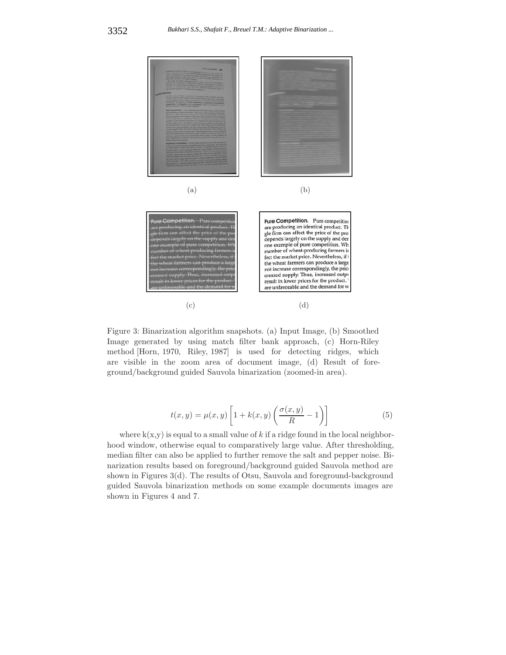

Figure 3: Binarization algorithm snapshots. (a) Input Image, (b) Smoothed Image generated by using match filter bank approach, (c) Horn-Riley method [Horn, 1970, Riley, 1987] is used for detecting ridges, which are visible in the zoom area of document image, (d) Result of foreground/background guided Sauvola binarization (zoomed-in area).

$$
t(x,y) = \mu(x,y) \left[ 1 + k(x,y) \left( \frac{\sigma(x,y)}{R} - 1 \right) \right]
$$
 (5)

where  $k(x,y)$  is equal to a small value of k if a ridge found in the local neighborhood window, otherwise equal to comparatively large value. After thresholding, median filter can also be applied to further remove the salt and pepper noise. Binarization results based on foreground/background guided Sauvola method are shown in Figures 3(d). The results of Otsu, Sauvola and foreground-background guided Sauvola binarization methods on some example documents images are shown in Figures 4 and 7.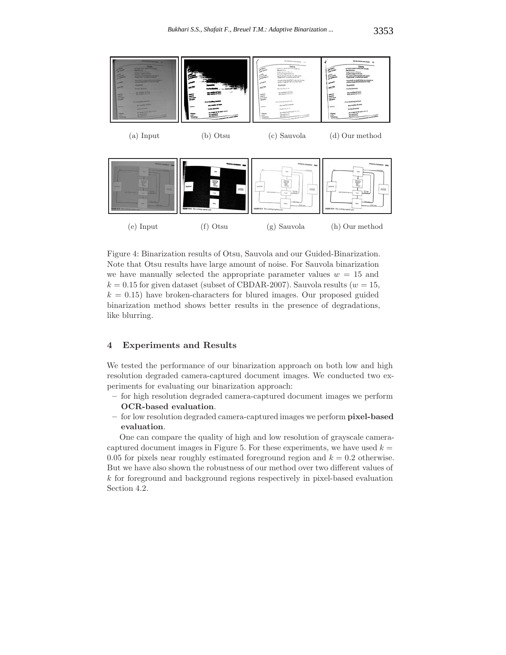

Figure 4: Binarization results of Otsu, Sauvola and our Guided-Binarization. Note that Otsu results have large amount of noise. For Sauvola binarization we have manually selected the appropriate parameter values  $w = 15$  and  $k = 0.15$  for given dataset (subset of CBDAR-2007). Sauvola results ( $w = 15$ ,  $k = 0.15$ ) have broken-characters for blured images. Our proposed guided binarization method shows better results in the presence of degradations, like blurring.

# **4 Experiments and Results**

We tested the performance of our binarization approach on both low and high resolution degraded camera-captured document images. We conducted two experiments for evaluating our binarization approach:

- **–** for high resolution degraded camera-captured document images we perform **OCR-based evaluation**.
- **–** for low resolution degraded camera-captured images we perform **pixel-based evaluation**.

One can compare the quality of high and low resolution of grayscale cameracaptured document images in Figure 5. For these experiments, we have used  $k =$ 0.05 for pixels near roughly estimated foreground region and  $k = 0.2$  otherwise. But we have also shown the robustness of our method over two different values of k for foreground and background regions respectively in pixel-based evaluation Section 4.2.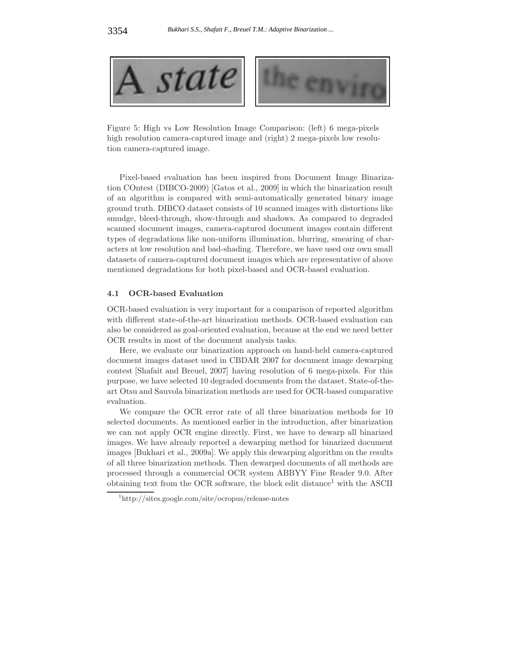

Figure 5: High vs Low Resolution Image Comparison: (left) 6 mega-pixels high resolution camera-captured image and (right) 2 mega-pixels low resolution camera-captured image.

Pixel-based evaluation has been inspired from Document Image Binarization COntest (DIBCO-2009) [Gatos et al., 2009] in which the binarization result of an algorithm is compared with semi-automatically generated binary image ground truth. DIBCO dataset consists of 10 scanned images with distortions like smudge, bleed-through, show-through and shadows. As compared to degraded scanned document images, camera-captured document images contain different types of degradations like non-uniform illumination, blurring, smearing of characters at low resolution and bad-shading. Therefore, we have used our own small datasets of camera-captured document images which are representative of above mentioned degradations for both pixel-based and OCR-based evaluation.

### **4.1 OCR-based Evaluation**

OCR-based evaluation is very important for a comparison of reported algorithm with different state-of-the-art binarization methods. OCR-based evaluation can also be considered as goal-oriented evaluation, because at the end we need better OCR results in most of the document analysis tasks.

Here, we evaluate our binarization approach on hand-held camera-captured document images dataset used in CBDAR 2007 for document image dewarping contest [Shafait and Breuel, 2007] having resolution of 6 mega-pixels. For this purpose, we have selected 10 degraded documents from the dataset. State-of-theart Otsu and Sauvola binarization methods are used for OCR-based comparative evaluation.

We compare the OCR error rate of all three binarization methods for 10 selected documents. As mentioned earlier in the introduction, after binarization we can not apply OCR engine directly. First, we have to dewarp all binarized images. We have already reported a dewarping method for binarized document images [Bukhari et al., 2009a]. We apply this dewarping algorithm on the results of all three binarization methods. Then dewarped documents of all methods are processed through a commercial OCR system ABBYY Fine Reader 9.0. After obtaining text from the OCR software, the block edit distance<sup>1</sup> with the ASCII

<sup>1</sup>http://sites.google.com/site/ocropus/release-notes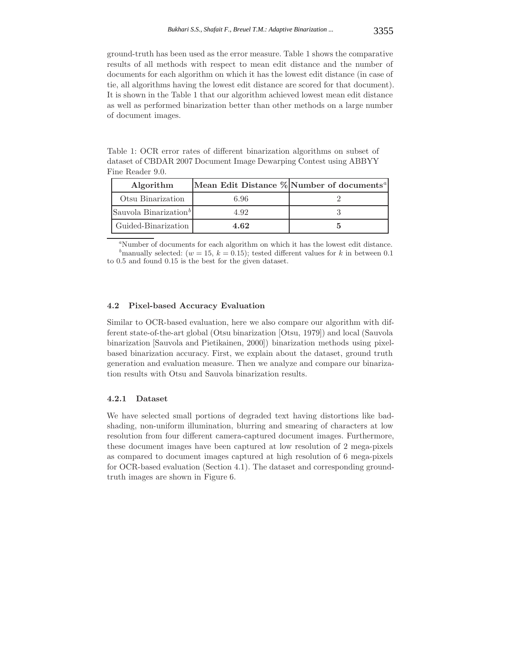ground-truth has been used as the error measure. Table 1 shows the comparative results of all methods with respect to mean edit distance and the number of documents for each algorithm on which it has the lowest edit distance (in case of tie, all algorithms having the lowest edit distance are scored for that document). It is shown in the Table 1 that our algorithm achieved lowest mean edit distance as well as performed binarization better than other methods on a large number of document images.

Table 1: OCR error rates of different binarization algorithms on subset of dataset of CBDAR 2007 Document Image Dewarping Contest using ABBYY Fine Reader 9.0.

| Algorithm                         |      | Mean Edit Distance % Number of documents <sup>a</sup> |
|-----------------------------------|------|-------------------------------------------------------|
| Otsu Binarization                 | 6.96 |                                                       |
| Sauvola Binarization <sup>b</sup> | 4.92 |                                                       |
| Guided-Binarization               | 4.62 |                                                       |

*<sup>a</sup>*Number of documents for each algorithm on which it has the lowest edit distance. *b*manually selected:  $(w = 15, k = 0.15)$ ; tested different values for *k* in between 0.1 to 0.5 and found 0.15 is the best for the given dataset.

### **4.2 Pixel-based Accuracy Evaluation**

Similar to OCR-based evaluation, here we also compare our algorithm with different state-of-the-art global (Otsu binarization [Otsu, 1979]) and local (Sauvola binarization [Sauvola and Pietikainen, 2000]) binarization methods using pixelbased binarization accuracy. First, we explain about the dataset, ground truth generation and evaluation measure. Then we analyze and compare our binarization results with Otsu and Sauvola binarization results.

## **4.2.1 Dataset**

We have selected small portions of degraded text having distortions like badshading, non-uniform illumination, blurring and smearing of characters at low resolution from four different camera-captured document images. Furthermore, these document images have been captured at low resolution of 2 mega-pixels as compared to document images captured at high resolution of 6 mega-pixels for OCR-based evaluation (Section 4.1). The dataset and corresponding groundtruth images are shown in Figure 6.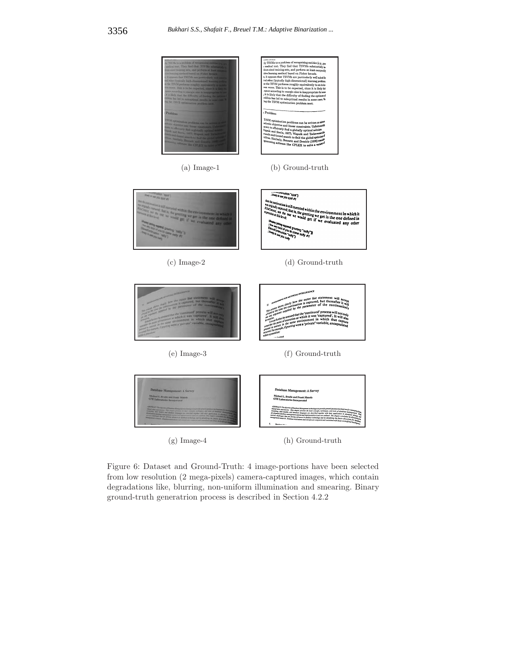

Figure 6: Dataset and Ground-Truth: 4 image-portions have been selected from low resolution (2 mega-pixels) camera-captured images, which contain degradations like, blurring, non-uniform illumination and smearing. Binary ground-truth generatrion process is described in Section 4.2.2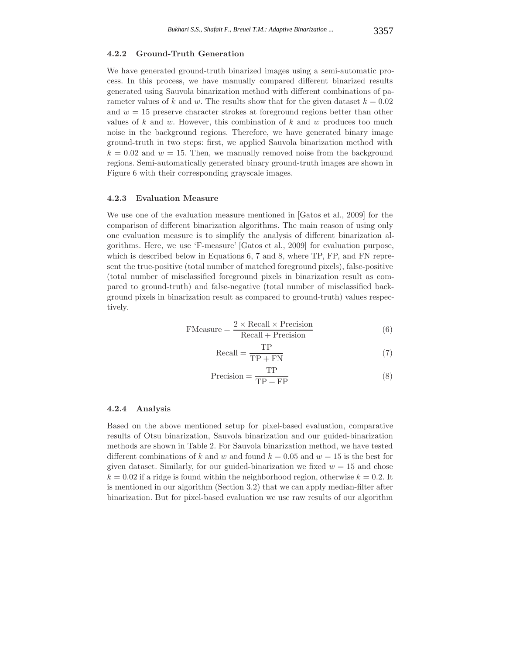### **4.2.2 Ground-Truth Generation**

We have generated ground-truth binarized images using a semi-automatic process. In this process, we have manually compared different binarized results generated using Sauvola binarization method with different combinations of parameter values of k and w. The results show that for the given dataset  $k = 0.02$ and  $w = 15$  preserve character strokes at foreground regions better than other values of  $k$  and  $w$ . However, this combination of  $k$  and  $w$  produces too much noise in the background regions. Therefore, we have generated binary image ground-truth in two steps: first, we applied Sauvola binarization method with  $k = 0.02$  and  $w = 15$ . Then, we manually removed noise from the background regions. Semi-automatically generated binary ground-truth images are shown in Figure 6 with their corresponding grayscale images.

#### **4.2.3 Evaluation Measure**

We use one of the evaluation measure mentioned in [Gatos et al., 2009] for the comparison of different binarization algorithms. The main reason of using only one evaluation measure is to simplify the analysis of different binarization algorithms. Here, we use 'F-measure' [Gatos et al., 2009] for evaluation purpose, which is described below in Equations 6, 7 and 8, where TP, FP, and FN represent the true-positive (total number of matched foreground pixels), false-positive (total number of misclassified foreground pixels in binarization result as compared to ground-truth) and false-negative (total number of misclassified background pixels in binarization result as compared to ground-truth) values respectively.

$$
FMeasure = \frac{2 \times Recall \times Precision}{Recall + Precision}
$$
 (6)

$$
Recall = \frac{TP}{TP + FN}
$$
 (7)

$$
Precision = \frac{TP}{TP + FP}
$$
 (8)

### **4.2.4 Analysis**

Based on the above mentioned setup for pixel-based evaluation, comparative results of Otsu binarization, Sauvola binarization and our guided-binarization methods are shown in Table 2. For Sauvola binarization method, we have tested different combinations of k and w and found  $k = 0.05$  and  $w = 15$  is the best for given dataset. Similarly, for our guided-binarization we fixed  $w = 15$  and chose  $k = 0.02$  if a ridge is found within the neighborhood region, otherwise  $k = 0.2$ . It is mentioned in our algorithm (Section 3.2) that we can apply median-filter after binarization. But for pixel-based evaluation we use raw results of our algorithm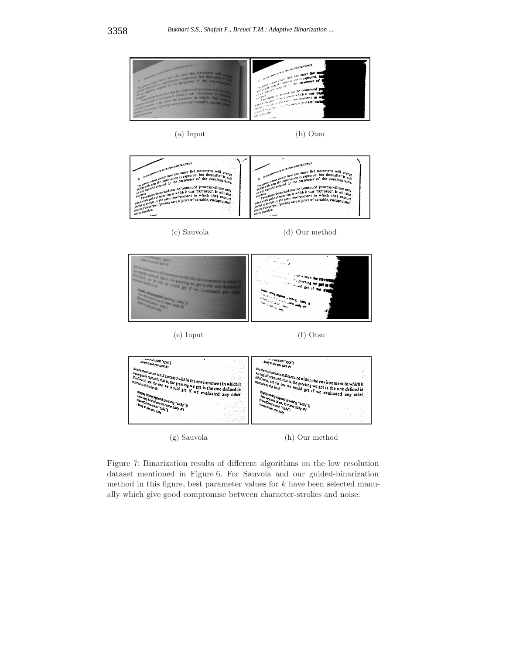

(g) Sauvola (h) Our method

Figure 7: Binarization results of different algorithms on the low resolution dataset mentioned in Figure 6. For Sauvola and our guided-binarization method in this figure, best parameter values for  $k$  have been selected manually which give good compromise between character-strokes and noise.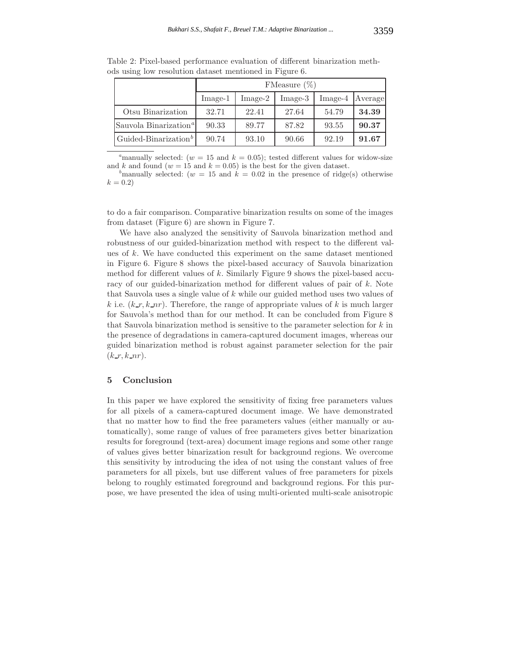|                                          | FMeasure $(\%)$ |           |           |           |         |  |
|------------------------------------------|-----------------|-----------|-----------|-----------|---------|--|
|                                          | $Image-1$       | $Image-2$ | $Image-3$ | $Image-4$ | Average |  |
| Otsu Binarization                        | 32.71           | 22.41     | 27.64     | 54.79     | 34.39   |  |
| Sauvola Binarization <sup><i>a</i></sup> | 90.33           | 89.77     | 87.82     | 93.55     | 90.37   |  |
| Guided-Binarization <sup>b</sup>         | 90.74           | 93.10     | 90.66     | 92.19     | 91.67   |  |

Table 2: Pixel-based performance evaluation of different binarization methods using low resolution dataset mentioned in Figure 6.

<sup>a</sup>manually selected:  $(w = 15$  and  $k = 0.05$ ; tested different values for widow-size and *k* and found ( $w = 15$  and  $k = 0.05$ ) is the best for the given dataset.

<sup>b</sup>manually selected:  $(w = 15$  and  $k = 0.02$  in the presence of ridge(s) otherwise  $k = 0.2$ 

to do a fair comparison. Comparative binarization results on some of the images from dataset (Figure 6) are shown in Figure 7.

We have also analyzed the sensitivity of Sauvola binarization method and robustness of our guided-binarization method with respect to the different values of k. We have conducted this experiment on the same dataset mentioned in Figure 6. Figure 8 shows the pixel-based accuracy of Sauvola binarization method for different values of  $k$ . Similarly Figure 9 shows the pixel-based accuracy of our guided-binarization method for different values of pair of k. Note that Sauvola uses a single value of k while our guided method uses two values of k i.e.  $(k-r, k-nr)$ . Therefore, the range of appropriate values of k is much larger for Sauvola's method than for our method. It can be concluded from Figure 8 that Sauvola binarization method is sensitive to the parameter selection for  $k$  in the presence of degradations in camera-captured document images, whereas our guided binarization method is robust against parameter selection for the pair  $(k_r, k_nr)$ .

## **5 Conclusion**

In this paper we have explored the sensitivity of fixing free parameters values for all pixels of a camera-captured document image. We have demonstrated that no matter how to find the free parameters values (either manually or automatically), some range of values of free parameters gives better binarization results for foreground (text-area) document image regions and some other range of values gives better binarization result for background regions. We overcome this sensitivity by introducing the idea of not using the constant values of free parameters for all pixels, but use different values of free parameters for pixels belong to roughly estimated foreground and background regions. For this purpose, we have presented the idea of using multi-oriented multi-scale anisotropic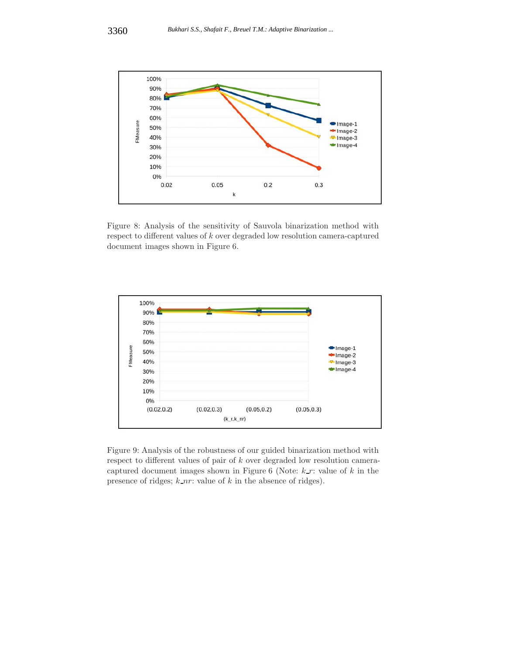

Figure 8: Analysis of the sensitivity of Sauvola binarization method with respect to different values of  $k$  over degraded low resolution camera-captured document images shown in Figure 6.



Figure 9: Analysis of the robustness of our guided binarization method with respect to different values of pair of k over degraded low resolution cameracaptured document images shown in Figure 6 (Note:  $k-r$ : value of  $k$  in the presence of ridges;  $k_nr$ : value of  $k$  in the absence of ridges).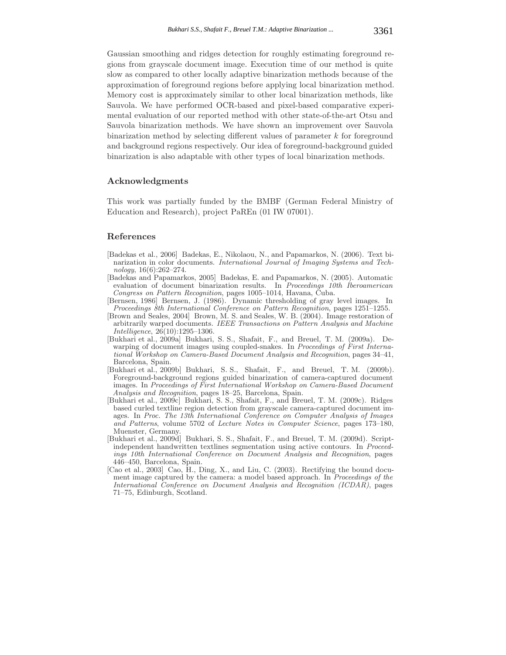Gaussian smoothing and ridges detection for roughly estimating foreground regions from grayscale document image. Execution time of our method is quite slow as compared to other locally adaptive binarization methods because of the approximation of foreground regions before applying local binarization method. Memory cost is approximately similar to other local binarization methods, like Sauvola. We have performed OCR-based and pixel-based comparative experimental evaluation of our reported method with other state-of-the-art Otsu and Sauvola binarization methods. We have shown an improvement over Sauvola binarization method by selecting different values of parameter  $k$  for foreground and background regions respectively. Our idea of foreground-background guided binarization is also adaptable with other types of local binarization methods.

# **Acknowledgments**

This work was partially funded by the BMBF (German Federal Ministry of Education and Research), project PaREn (01 IW 07001).

# **References**

- [Badekas et al., 2006] Badekas, E., Nikolaou, N., and Papamarkos, N. (2006). Text binarization in color documents. *International Journal of Imaging Systems and Technology*, 16(6):262–274.
- [Badekas and Papamarkos, 2005] Badekas, E. and Papamarkos, N. (2005). Automatic evaluation of document binarization results. In *Proceedings 10th Iberoamerican Congress on Pattern Recognition*, pages 1005–1014, Havana, Cuba.
- [Bernsen, 1986] Bernsen, J. (1986). Dynamic thresholding of gray level images. In *Proceedings 8th International Conference on Pattern Recognition*, pages 1251–1255.
- [Brown and Seales, 2004] Brown, M. S. and Seales, W. B. (2004). Image restoration of arbitrarily warped documents. *IEEE Transactions on Pattern Analysis and Machine Intelligence*, 26(10):1295–1306.
- [Bukhari et al., 2009a] Bukhari, S. S., Shafait, F., and Breuel, T. M. (2009a). Dewarping of document images using coupled-snakes. In *Proceedings of First International Workshop on Camera-Based Document Analysis and Recognition*, pages 34–41, Barcelona, Spain.
- [Bukhari et al., 2009b] Bukhari, S. S., Shafait, F., and Breuel, T. M. (2009b). Foreground-background regions guided binarization of camera-captured document images. In *Proceedings of First International Workshop on Camera-Based Document Analysis and Recognition*, pages 18–25, Barcelona, Spain.
- [Bukhari et al., 2009c] Bukhari, S. S., Shafait, F., and Breuel, T. M. (2009c). Ridges based curled textline region detection from grayscale camera-captured document images. In *Proc. The 13th International Conference on Computer Analysis of Images and Patterns*, volume 5702 of *Lecture Notes in Computer Science*, pages 173–180, Muenster, Germany.
- [Bukhari et al., 2009d] Bukhari, S. S., Shafait, F., and Breuel, T. M. (2009d). Scriptindependent handwritten textlines segmentation using active contours. In *Proceedings 10th International Conference on Document Analysis and Recognition*, pages 446–450, Barcelona, Spain.
- [Cao et al., 2003] Cao, H., Ding, X., and Liu, C. (2003). Rectifying the bound document image captured by the camera: a model based approach. In *Proceedings of the International Conference on Document Analysis and Recognition (ICDAR)*, pages 71–75, Edinburgh, Scotland.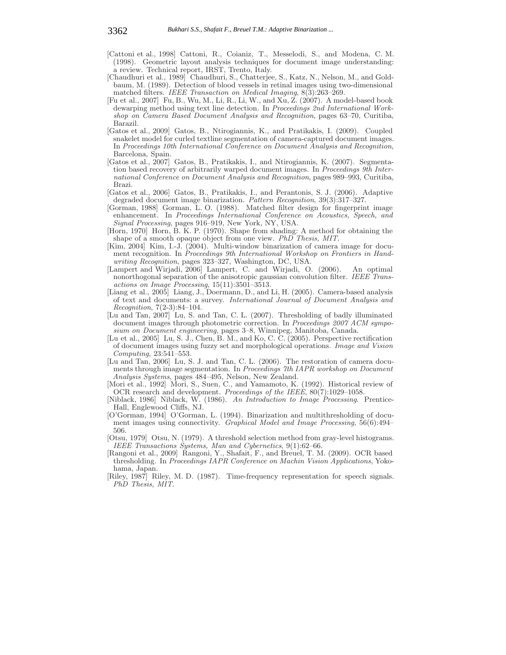- [Cattoni et al., 1998] Cattoni, R., Coianiz, T., Messelodi, S., and Modena, C. M. (1998). Geometric layout analysis techniques for document image understanding: a review. Technical report, IRST, Trento, Italy.
- [Chaudhuri et al., 1989] Chaudhuri, S., Chatterjee, S., Katz, N., Nelson, M., and Goldbaum, M. (1989). Detection of blood vessels in retinal images using two-dimensional matched filters. *IEEE Transaction on Medical Imaging*, 8(3):263–269.
- [Fu et al., 2007] Fu, B., Wu, M., Li, R., Li, W., and Xu, Z. (2007). A model-based book dewarping method using text line detection. In *Proceedings 2nd International Workshop on Camera Based Document Analysis and Recognition*, pages 63–70, Curitiba, Barazil.
- [Gatos et al., 2009] Gatos, B., Ntirogiannis, K., and Pratikakis, I. (2009). Coupled snakelet model for curled textline segmentation of camera-captured document images. In *Proceedings 10th International Conference on Document Analysis and Recognition*, Barcelona, Spain.
- [Gatos et al., 2007] Gatos, B., Pratikakis, I., and Ntirogiannis, K. (2007). Segmentation based recovery of arbitrarily warped document images. In *Proceedings 9th International Conference on Document Analysis and Recognition*, pages 989–993, Curitiba, Brazi.
- [Gatos et al., 2006] Gatos, B., Pratikakis, I., and Perantonis, S. J. (2006). Adaptive degraded document image binarization. *Pattern Recognition*, 39(3):317–327.
- [Gorman, 1988] Gorman, L. O. (1988). Matched filter design for fingerprint image enhancement. In *Proceedings International Conference on Acoustics, Speech, and Signal Processing*, pages 916–919, New York, NY, USA.
- [Horn, 1970] Horn, B. K. P. (1970). Shape from shading: A method for obtaining the shape of a smooth opaque object from one view. *PhD Thesis, MIT*.
- [Kim, 2004] Kim, I.-J. (2004). Multi-window binarization of camera image for document recognition. In *Proceedings 9th International Workshop on Frontiers in Handwriting Recognition*, pages 323–327, Washington, DC, USA.
- [Lampert and Wirjadi, 2006] Lampert, C. and Wirjadi, O. (2006). An optimal nonorthogonal separation of the anisotropic gaussian convolution filter. *IEEE Transactions on Image Processing*, 15(11):3501–3513.
- [Liang et al., 2005] Liang, J., Doermann, D., and Li, H. (2005). Camera-based analysis of text and documents: a survey. *International Journal of Document Analysis and Recognition*, 7(2-3):84–104.
- [Lu and Tan, 2007] Lu, S. and Tan, C. L. (2007). Thresholding of badly illuminated document images through photometric correction. In *Proceedings 2007 ACM symposium on Document engineering*, pages 3–8, Winnipeg, Manitoba, Canada.
- [Lu et al., 2005] Lu, S. J., Chen, B. M., and Ko, C. C. (2005). Perspective rectification of document images using fuzzy set and morphological operations. *Image and Vision Computing*, 23:541–553.
- [Lu and Tan, 2006] Lu, S. J. and Tan, C. L. (2006). The restoration of camera documents through image segmentation. In *Proceedings 7th IAPR workshop on Document Analysis Systems*, pages 484–495, Nelson, New Zealand.
- [Mori et al., 1992] Mori, S., Suen, C., and Yamamoto, K. (1992). Historical review of OCR research and development. *Proceedings of the IEEE*, 80(7):1029–1058.
- [Niblack, 1986] Niblack, W. (1986). *An Introduction to Image Processing*. Prentice-Hall, Englewood Cliffs, NJ.
- [O'Gorman, 1994] O'Gorman, L. (1994). Binarization and multithresholding of document images using connectivity. *Graphical Model and Image Processing*, 56(6):494– 506.
- [Otsu, 1979] Otsu, N. (1979). A threshold selection method from gray-level histograms. *IEEE Transactions Systems, Man and Cybernetics*, 9(1):62–66.
- [Rangoni et al., 2009] Rangoni, Y., Shafait, F., and Breuel, T. M. (2009). OCR based thresholding. In *Proceedings IAPR Conference on Machin Vision Applications*, Yokohama, Japan.
- [Riley, 1987] Riley, M. D. (1987). Time-frequency representation for speech signals. *PhD Thesis, MIT*.